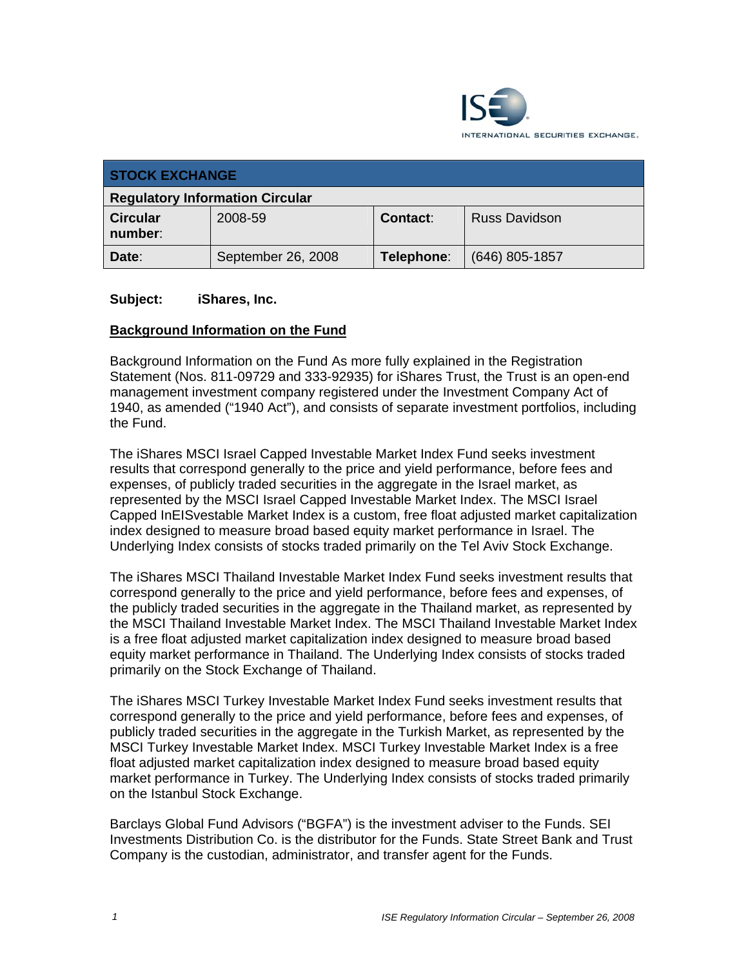

| <b>STOCK EXCHANGE</b>                  |                    |                 |                      |
|----------------------------------------|--------------------|-----------------|----------------------|
| <b>Regulatory Information Circular</b> |                    |                 |                      |
| <b>Circular</b><br>number:             | 2008-59            | <b>Contact:</b> | <b>Russ Davidson</b> |
| Date:                                  | September 26, 2008 | Telephone:      | $(646)$ 805-1857     |

#### **Subject: iShares, Inc.**

#### **Background Information on the Fund**

Background Information on the Fund As more fully explained in the Registration Statement (Nos. 811-09729 and 333-92935) for iShares Trust, the Trust is an open-end management investment company registered under the Investment Company Act of 1940, as amended ("1940 Act"), and consists of separate investment portfolios, including the Fund.

The iShares MSCI Israel Capped Investable Market Index Fund seeks investment results that correspond generally to the price and yield performance, before fees and expenses, of publicly traded securities in the aggregate in the Israel market, as represented by the MSCI Israel Capped Investable Market Index. The MSCI Israel Capped InEISvestable Market Index is a custom, free float adjusted market capitalization index designed to measure broad based equity market performance in Israel. The Underlying Index consists of stocks traded primarily on the Tel Aviv Stock Exchange.

The iShares MSCI Thailand Investable Market Index Fund seeks investment results that correspond generally to the price and yield performance, before fees and expenses, of the publicly traded securities in the aggregate in the Thailand market, as represented by the MSCI Thailand Investable Market Index. The MSCI Thailand Investable Market Index is a free float adjusted market capitalization index designed to measure broad based equity market performance in Thailand. The Underlying Index consists of stocks traded primarily on the Stock Exchange of Thailand.

The iShares MSCI Turkey Investable Market Index Fund seeks investment results that correspond generally to the price and yield performance, before fees and expenses, of publicly traded securities in the aggregate in the Turkish Market, as represented by the MSCI Turkey Investable Market Index. MSCI Turkey Investable Market Index is a free float adjusted market capitalization index designed to measure broad based equity market performance in Turkey. The Underlying Index consists of stocks traded primarily on the Istanbul Stock Exchange.

Barclays Global Fund Advisors ("BGFA") is the investment adviser to the Funds. SEI Investments Distribution Co. is the distributor for the Funds. State Street Bank and Trust Company is the custodian, administrator, and transfer agent for the Funds.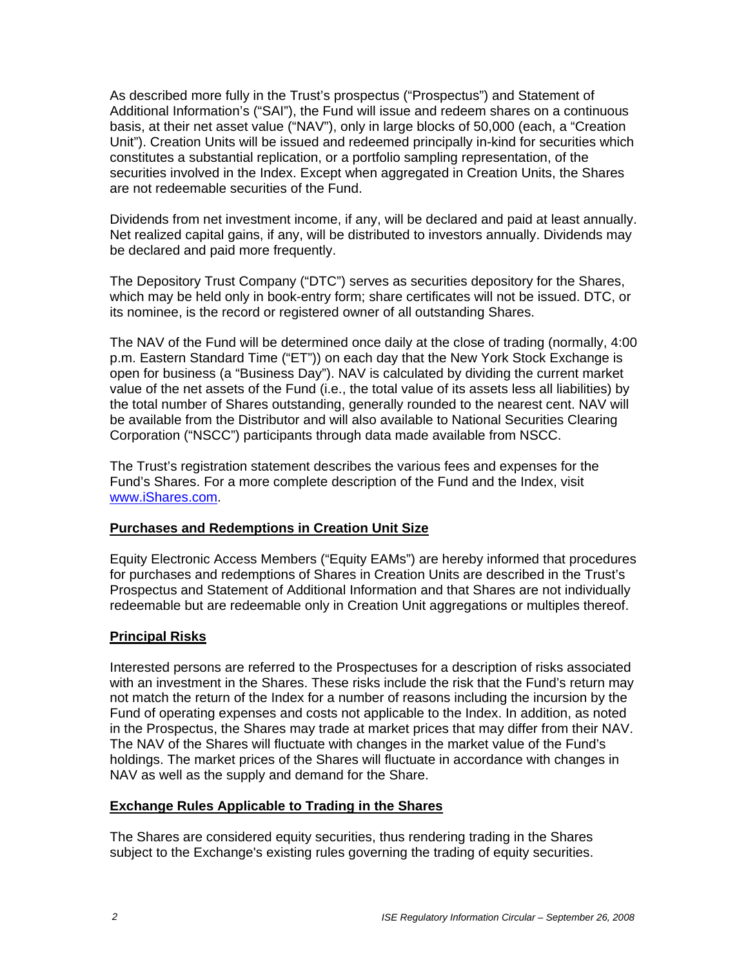As described more fully in the Trust's prospectus ("Prospectus") and Statement of Additional Information's ("SAI"), the Fund will issue and redeem shares on a continuous basis, at their net asset value ("NAV"), only in large blocks of 50,000 (each, a "Creation Unit"). Creation Units will be issued and redeemed principally in-kind for securities which constitutes a substantial replication, or a portfolio sampling representation, of the securities involved in the Index. Except when aggregated in Creation Units, the Shares are not redeemable securities of the Fund.

Dividends from net investment income, if any, will be declared and paid at least annually. Net realized capital gains, if any, will be distributed to investors annually. Dividends may be declared and paid more frequently.

The Depository Trust Company ("DTC") serves as securities depository for the Shares, which may be held only in book-entry form; share certificates will not be issued. DTC, or its nominee, is the record or registered owner of all outstanding Shares.

The NAV of the Fund will be determined once daily at the close of trading (normally, 4:00 p.m. Eastern Standard Time ("ET")) on each day that the New York Stock Exchange is open for business (a "Business Day"). NAV is calculated by dividing the current market value of the net assets of the Fund (i.e., the total value of its assets less all liabilities) by the total number of Shares outstanding, generally rounded to the nearest cent. NAV will be available from the Distributor and will also available to National Securities Clearing Corporation ("NSCC") participants through data made available from NSCC.

The Trust's registration statement describes the various fees and expenses for the Fund's Shares. For a more complete description of the Fund and the Index, visit www.iShares.com.

#### **Purchases and Redemptions in Creation Unit Size**

Equity Electronic Access Members ("Equity EAMs") are hereby informed that procedures for purchases and redemptions of Shares in Creation Units are described in the Trust's Prospectus and Statement of Additional Information and that Shares are not individually redeemable but are redeemable only in Creation Unit aggregations or multiples thereof.

#### **Principal Risks**

Interested persons are referred to the Prospectuses for a description of risks associated with an investment in the Shares. These risks include the risk that the Fund's return may not match the return of the Index for a number of reasons including the incursion by the Fund of operating expenses and costs not applicable to the Index. In addition, as noted in the Prospectus, the Shares may trade at market prices that may differ from their NAV. The NAV of the Shares will fluctuate with changes in the market value of the Fund's holdings. The market prices of the Shares will fluctuate in accordance with changes in NAV as well as the supply and demand for the Share.

#### **Exchange Rules Applicable to Trading in the Shares**

The Shares are considered equity securities, thus rendering trading in the Shares subject to the Exchange's existing rules governing the trading of equity securities.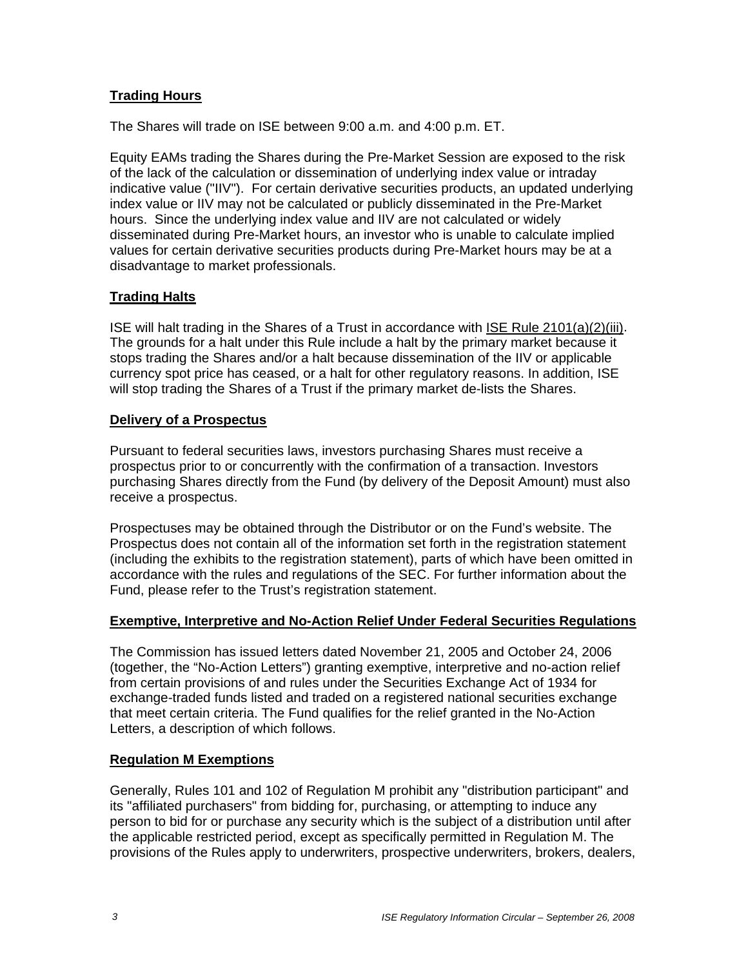# **Trading Hours**

The Shares will trade on ISE between 9:00 a.m. and 4:00 p.m. ET.

Equity EAMs trading the Shares during the Pre-Market Session are exposed to the risk of the lack of the calculation or dissemination of underlying index value or intraday indicative value ("IIV"). For certain derivative securities products, an updated underlying index value or IIV may not be calculated or publicly disseminated in the Pre-Market hours. Since the underlying index value and IIV are not calculated or widely disseminated during Pre-Market hours, an investor who is unable to calculate implied values for certain derivative securities products during Pre-Market hours may be at a disadvantage to market professionals.

# **Trading Halts**

ISE will halt trading in the Shares of a Trust in accordance with ISE Rule 2101(a)(2)(iii). The grounds for a halt under this Rule include a halt by the primary market because it stops trading the Shares and/or a halt because dissemination of the IIV or applicable currency spot price has ceased, or a halt for other regulatory reasons. In addition, ISE will stop trading the Shares of a Trust if the primary market de-lists the Shares.

# **Delivery of a Prospectus**

Pursuant to federal securities laws, investors purchasing Shares must receive a prospectus prior to or concurrently with the confirmation of a transaction. Investors purchasing Shares directly from the Fund (by delivery of the Deposit Amount) must also receive a prospectus.

Prospectuses may be obtained through the Distributor or on the Fund's website. The Prospectus does not contain all of the information set forth in the registration statement (including the exhibits to the registration statement), parts of which have been omitted in accordance with the rules and regulations of the SEC. For further information about the Fund, please refer to the Trust's registration statement.

# **Exemptive, Interpretive and No-Action Relief Under Federal Securities Regulations**

The Commission has issued letters dated November 21, 2005 and October 24, 2006 (together, the "No-Action Letters") granting exemptive, interpretive and no-action relief from certain provisions of and rules under the Securities Exchange Act of 1934 for exchange-traded funds listed and traded on a registered national securities exchange that meet certain criteria. The Fund qualifies for the relief granted in the No-Action Letters, a description of which follows.

# **Regulation M Exemptions**

Generally, Rules 101 and 102 of Regulation M prohibit any "distribution participant" and its "affiliated purchasers" from bidding for, purchasing, or attempting to induce any person to bid for or purchase any security which is the subject of a distribution until after the applicable restricted period, except as specifically permitted in Regulation M. The provisions of the Rules apply to underwriters, prospective underwriters, brokers, dealers,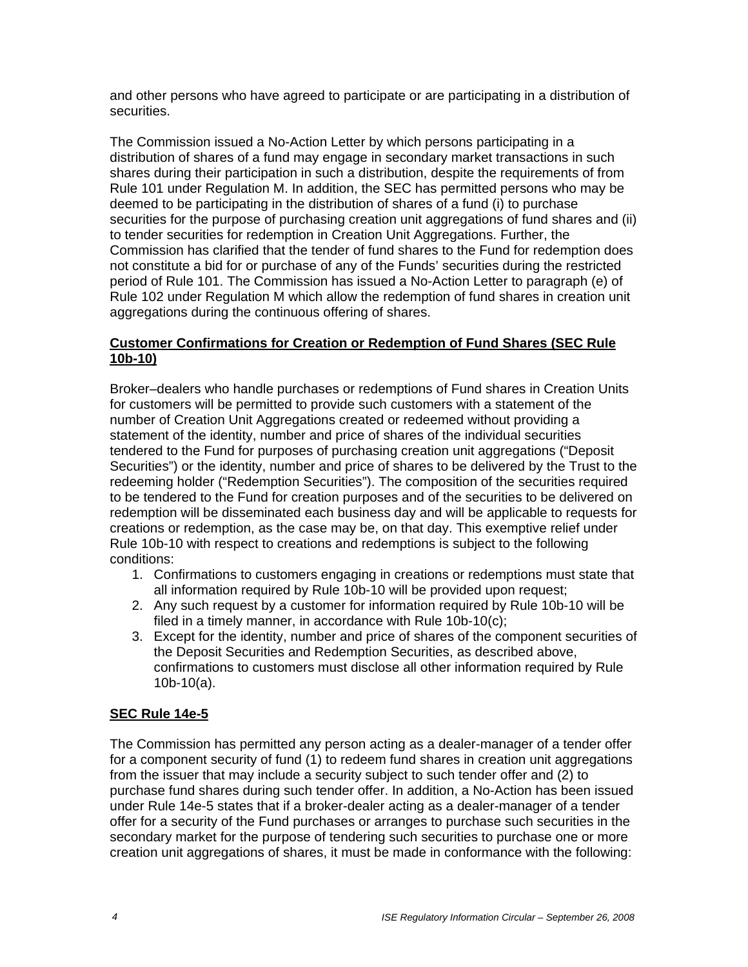and other persons who have agreed to participate or are participating in a distribution of securities.

The Commission issued a No-Action Letter by which persons participating in a distribution of shares of a fund may engage in secondary market transactions in such shares during their participation in such a distribution, despite the requirements of from Rule 101 under Regulation M. In addition, the SEC has permitted persons who may be deemed to be participating in the distribution of shares of a fund (i) to purchase securities for the purpose of purchasing creation unit aggregations of fund shares and (ii) to tender securities for redemption in Creation Unit Aggregations. Further, the Commission has clarified that the tender of fund shares to the Fund for redemption does not constitute a bid for or purchase of any of the Funds' securities during the restricted period of Rule 101. The Commission has issued a No-Action Letter to paragraph (e) of Rule 102 under Regulation M which allow the redemption of fund shares in creation unit aggregations during the continuous offering of shares.

#### **Customer Confirmations for Creation or Redemption of Fund Shares (SEC Rule 10b-10)**

Broker–dealers who handle purchases or redemptions of Fund shares in Creation Units for customers will be permitted to provide such customers with a statement of the number of Creation Unit Aggregations created or redeemed without providing a statement of the identity, number and price of shares of the individual securities tendered to the Fund for purposes of purchasing creation unit aggregations ("Deposit Securities") or the identity, number and price of shares to be delivered by the Trust to the redeeming holder ("Redemption Securities"). The composition of the securities required to be tendered to the Fund for creation purposes and of the securities to be delivered on redemption will be disseminated each business day and will be applicable to requests for creations or redemption, as the case may be, on that day. This exemptive relief under Rule 10b-10 with respect to creations and redemptions is subject to the following conditions:

- 1. Confirmations to customers engaging in creations or redemptions must state that all information required by Rule 10b-10 will be provided upon request;
- 2. Any such request by a customer for information required by Rule 10b-10 will be filed in a timely manner, in accordance with Rule 10b-10(c);
- 3. Except for the identity, number and price of shares of the component securities of the Deposit Securities and Redemption Securities, as described above, confirmations to customers must disclose all other information required by Rule 10b-10(a).

# **SEC Rule 14e-5**

The Commission has permitted any person acting as a dealer-manager of a tender offer for a component security of fund (1) to redeem fund shares in creation unit aggregations from the issuer that may include a security subject to such tender offer and (2) to purchase fund shares during such tender offer. In addition, a No-Action has been issued under Rule 14e-5 states that if a broker-dealer acting as a dealer-manager of a tender offer for a security of the Fund purchases or arranges to purchase such securities in the secondary market for the purpose of tendering such securities to purchase one or more creation unit aggregations of shares, it must be made in conformance with the following: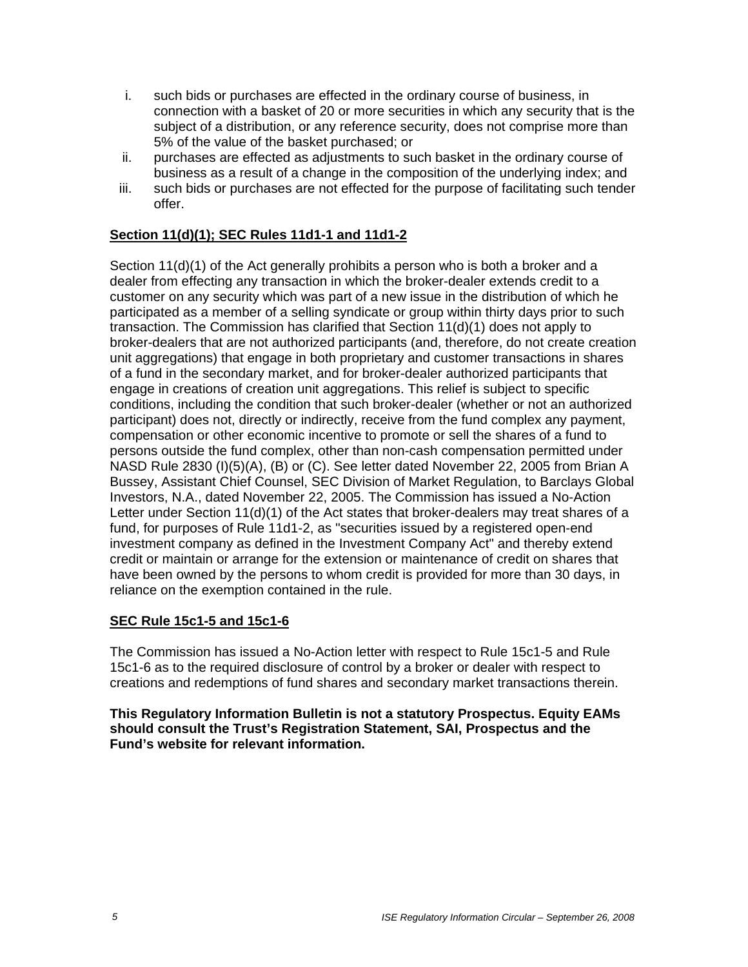- i. such bids or purchases are effected in the ordinary course of business, in connection with a basket of 20 or more securities in which any security that is the subject of a distribution, or any reference security, does not comprise more than 5% of the value of the basket purchased; or
- ii. purchases are effected as adjustments to such basket in the ordinary course of business as a result of a change in the composition of the underlying index; and
- iii. such bids or purchases are not effected for the purpose of facilitating such tender offer.

### **Section 11(d)(1); SEC Rules 11d1-1 and 11d1-2**

Section 11(d)(1) of the Act generally prohibits a person who is both a broker and a dealer from effecting any transaction in which the broker-dealer extends credit to a customer on any security which was part of a new issue in the distribution of which he participated as a member of a selling syndicate or group within thirty days prior to such transaction. The Commission has clarified that Section 11(d)(1) does not apply to broker-dealers that are not authorized participants (and, therefore, do not create creation unit aggregations) that engage in both proprietary and customer transactions in shares of a fund in the secondary market, and for broker-dealer authorized participants that engage in creations of creation unit aggregations. This relief is subject to specific conditions, including the condition that such broker-dealer (whether or not an authorized participant) does not, directly or indirectly, receive from the fund complex any payment, compensation or other economic incentive to promote or sell the shares of a fund to persons outside the fund complex, other than non-cash compensation permitted under NASD Rule 2830 (I)(5)(A), (B) or (C). See letter dated November 22, 2005 from Brian A Bussey, Assistant Chief Counsel, SEC Division of Market Regulation, to Barclays Global Investors, N.A., dated November 22, 2005. The Commission has issued a No-Action Letter under Section 11(d)(1) of the Act states that broker-dealers may treat shares of a fund, for purposes of Rule 11d1-2, as "securities issued by a registered open-end investment company as defined in the Investment Company Act" and thereby extend credit or maintain or arrange for the extension or maintenance of credit on shares that have been owned by the persons to whom credit is provided for more than 30 days, in reliance on the exemption contained in the rule.

#### **SEC Rule 15c1-5 and 15c1-6**

The Commission has issued a No-Action letter with respect to Rule 15c1-5 and Rule 15c1-6 as to the required disclosure of control by a broker or dealer with respect to creations and redemptions of fund shares and secondary market transactions therein.

**This Regulatory Information Bulletin is not a statutory Prospectus. Equity EAMs should consult the Trust's Registration Statement, SAI, Prospectus and the Fund's website for relevant information.**